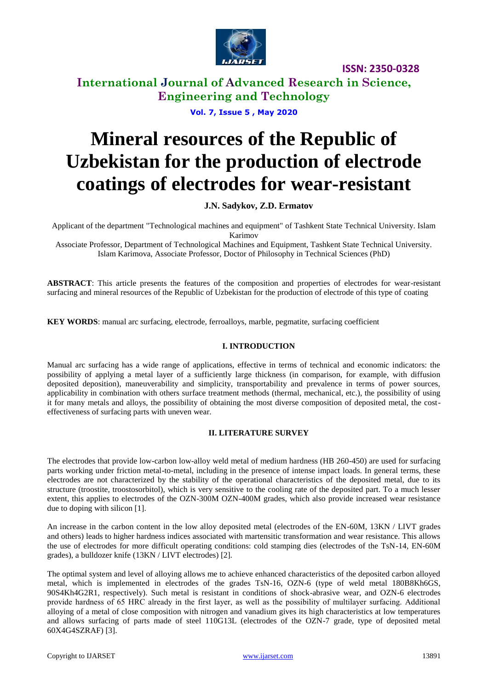

**International Journal of Advanced Research in Science, Engineering and Technology**

**Vol. 7, Issue 5 , May 2020**

# **Mineral resources of the Republic of Uzbekistan for the production of electrode coatings of electrodes for wear-resistant**

**J.N. Sadykov, Z.D. Ermatov**

Applicant of the department "Technological machines and equipment" of Tashkent State Technical University. Islam Karimov Associate Professor, Department of Technological Machines and Equipment, Tashkent State Technical University. Islam Karimova, Associate Professor, Doctor of Philosophy in Technical Sciences (PhD)

**ABSTRACT**: This article presents the features of the composition and properties of electrodes for wear-resistant surfacing and mineral resources of the Republic of Uzbekistan for the production of electrode of this type of coating

**KEY WORDS**: manual arc surfacing, electrode, ferroalloys, marble, pegmatite, surfacing coefficient

## **I. INTRODUCTION**

Manual arc surfacing has a wide range of applications, effective in terms of technical and economic indicators: the possibility of applying a metal layer of a sufficiently large thickness (in comparison, for example, with diffusion deposited deposition), maneuverability and simplicity, transportability and prevalence in terms of power sources, applicability in combination with others surface treatment methods (thermal, mechanical, etc.), the possibility of using it for many metals and alloys, the possibility of obtaining the most diverse composition of deposited metal, the costeffectiveness of surfacing parts with uneven wear.

# **II. LITERATURE SURVEY**

The electrodes that provide low-carbon low-alloy weld metal of medium hardness (HB 260-450) are used for surfacing parts working under friction metal-to-metal, including in the presence of intense impact loads. In general terms, these electrodes are not characterized by the stability of the operational characteristics of the deposited metal, due to its structure (troostite, troostosorbitol), which is very sensitive to the cooling rate of the deposited part. To a much lesser extent, this applies to electrodes of the OZN-300M OZN-400M grades, which also provide increased wear resistance due to doping with silicon [1].

An increase in the carbon content in the low alloy deposited metal (electrodes of the EN-60M, 13KN / LIVT grades and others) leads to higher hardness indices associated with martensitic transformation and wear resistance. This allows the use of electrodes for more difficult operating conditions: cold stamping dies (electrodes of the TsN-14, EN-60M grades), a bulldozer knife (13KN / LIVT electrodes) [2].

The optimal system and level of alloying allows me to achieve enhanced characteristics of the deposited carbon alloyed metal, which is implemented in electrodes of the grades TsN-16, OZN-6 (type of weld metal 180B8Kh6GS, 90S4Kh4G2R1, respectively). Such metal is resistant in conditions of shock-abrasive wear, and OZN-6 electrodes provide hardness of 65 HRС already in the first layer, as well as the possibility of multilayer surfacing. Additional alloying of a metal of close composition with nitrogen and vanadium gives its high characteristics at low temperatures and allows surfacing of parts made of steel 110G13L (electrodes of the OZN-7 grade, type of deposited metal 60X4G4SZRAF) [3].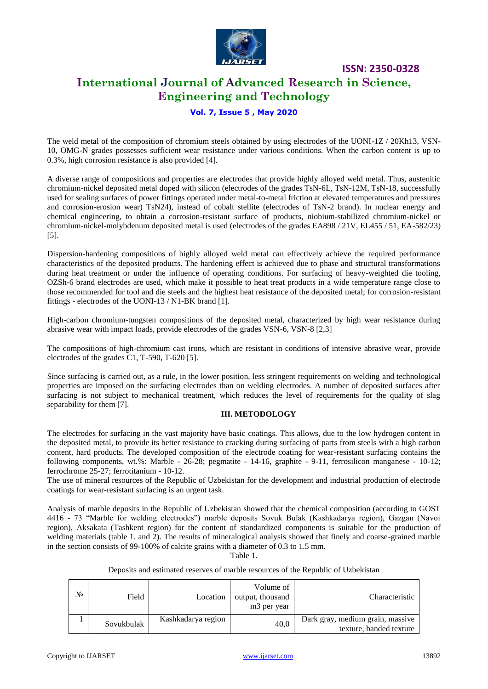

# **International Journal of Advanced Research in Science, Engineering and Technology**

# **Vol. 7, Issue 5 , May 2020**

The weld metal of the composition of chromium steels obtained by using electrodes of the UONI-1Z / 20Kh13, VSN-10, OMG-N grades possesses sufficient wear resistance under various conditions. When the carbon content is up to 0.3%, high corrosion resistance is also provided [4].

A diverse range of compositions and properties are electrodes that provide highly alloyed weld metal. Thus, austenitic chromium-nickel deposited metal doped with silicon (electrodes of the grades TsN-6L, TsN-12M, TsN-18, successfully used for sealing surfaces of power fittings operated under metal-to-metal friction at elevated temperatures and pressures and corrosion-erosion wear) TsN24), instead of cobalt stellite (electrodes of TsN-2 brand). In nuclear energy and chemical engineering, to obtain a corrosion-resistant surface of products, niobium-stabilized chromium-nickel or chromium-nickel-molybdenum deposited metal is used (electrodes of the grades EA898 / 21V, EL455 / 51, EA-582/23) [5].

Dispersion-hardening compositions of highly alloyed weld metal can effectively achieve the required performance characteristics of the deposited products. The hardening effect is achieved due to phase and structural transformations during heat treatment or under the influence of operating conditions. For surfacing of heavy-weighted die tooling, OZSh-6 brand electrodes are used, which make it possible to heat treat products in a wide temperature range close to those recommended for tool and die steels and the highest heat resistance of the deposited metal; for corrosion-resistant fittings - electrodes of the UONI-13 / N1-BK brand [1].

High-carbon chromium-tungsten compositions of the deposited metal, characterized by high wear resistance during abrasive wear with impact loads, provide electrodes of the grades VSN-6, VSN-8 [2,3]

The compositions of high-chromium cast irons, which are resistant in conditions of intensive abrasive wear, provide electrodes of the grades C1, T-590, T-620 [5].

Since surfacing is carried out, as a rule, in the lower position, less stringent requirements on welding and technological properties are imposed on the surfacing electrodes than on welding electrodes. A number of deposited surfaces after surfacing is not subject to mechanical treatment, which reduces the level of requirements for the quality of slag separability for them [7].

### **III. METODOLOGY**

The electrodes for surfacing in the vast majority have basic coatings. This allows, due to the low hydrogen content in the deposited metal, to provide its better resistance to cracking during surfacing of parts from steels with a high carbon content, hard products. The developed composition of the electrode coating for wear-resistant surfacing contains the following components, wt.%: Marble -  $26-28$ ; pegmatite -  $14-16$ , graphite -  $9-11$ , ferrosilicon manganese -  $10-12$ ; ferrochrome 25-27; ferrotitanium - 10-12.

The use of mineral resources of the Republic of Uzbekistan for the development and industrial production of electrode coatings for wear-resistant surfacing is an urgent task.

Analysis of marble deposits in the Republic of Uzbekistan showed that the chemical composition (according to GOST 4416 - 73 "Marble for welding electrodes") marble deposits Sovuk Bulak (Kashkadarya region), Gazgan (Navoi region), Aksakata (Tashkent region) for the content of standardized components is suitable for the production of welding materials (table 1. and 2). The results of mineralogical analysis showed that finely and coarse-grained marble in the section consists of 99-100% of calcite grains with a diameter of 0.3 to 1.5 mm.

Table 1.

#### Deposits and estimated reserves of marble resources of the Republic of Uzbekistan

| N∘ | Field      | Location           | Volume of<br>output, thousand<br>m <sub>3</sub> per year | Characteristic                                              |
|----|------------|--------------------|----------------------------------------------------------|-------------------------------------------------------------|
|    | Sovukbulak | Kashkadarya region | 40,0                                                     | Dark gray, medium grain, massive<br>texture, banded texture |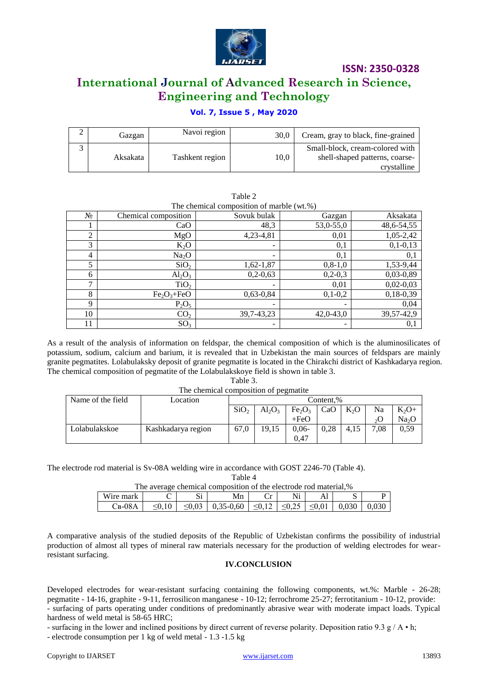

# **International Journal of Advanced Research in Science, Engineering and Technology**

# **Vol. 7, Issue 5 , May 2020**

| Gazgan   | Navoi region    | 30.0 | Cream, gray to black, fine-grained                                               |
|----------|-----------------|------|----------------------------------------------------------------------------------|
| Aksakata | Tashkent region | 10,0 | Small-block, cream-colored with<br>shell-shaped patterns, coarse-<br>crystalline |

Table 2

| The chemical composition of marble (wt.%) |                      |                 |               |             |  |  |  |
|-------------------------------------------|----------------------|-----------------|---------------|-------------|--|--|--|
| $N_2$                                     | Chemical composition | Sovuk bulak     | Gazgan        | Aksakata    |  |  |  |
|                                           | CaO                  | 48,3            | 53,0-55,0     | 48,6-54,55  |  |  |  |
| 2                                         | MgO                  | 4,23-4,81       | 0,01          | 1,05-2,42   |  |  |  |
| 3                                         | $K_2O$               | $\qquad \qquad$ | 0,1           | $0,1-0,13$  |  |  |  |
| $\overline{4}$                            | Na <sub>2</sub> O    | -               | 0,1           | 0,1         |  |  |  |
| 5                                         | SiO <sub>2</sub>     | 1,62-1,87       | $0, 8 - 1, 0$ | 1,53-9,44   |  |  |  |
| 6                                         | $Al_2O_3$            | $0,2-0,63$      | $0,2-0,3$     | $0,03-0,89$ |  |  |  |
| 7                                         | TiO <sub>2</sub>     | -               | 0,01          | $0,02-0,03$ |  |  |  |
| 8                                         | $Fe2O3+FeO$          | $0,63-0,84$     | $0,1-0,2$     | $0,18-0,39$ |  |  |  |
| 9                                         | $P_2O_5$             |                 |               | 0,04        |  |  |  |
| 10                                        | CO <sub>2</sub>      | 39, 7-43, 23    | $42,0-43,0$   | 39,57-42,9  |  |  |  |
| 11                                        | SO <sub>3</sub>      | -               |               | 0,1         |  |  |  |

As a result of the analysis of information on feldspar, the chemical composition of which is the aluminosilicates of potassium, sodium, calcium and barium, it is revealed that in Uzbekistan the main sources of feldspars are mainly granite pegmatites. Lolabulaksky deposit of granite pegmatite is located in the Chirakchi district of Kashkadarya region. The chemical composition of pegmatite of the Lolabulakskoye field is shown in table 3.

# Table 3. The chemical composition of pegmatite

| Name of the field | Location           | Content.%        |           |                                |      |                  |         |                   |
|-------------------|--------------------|------------------|-----------|--------------------------------|------|------------------|---------|-------------------|
|                   |                    | SiO <sub>2</sub> | $Al_2O_3$ | Fe <sub>2</sub> O <sub>3</sub> | CaO  | K <sub>2</sub> O | Na      | $K_2O+$           |
|                   |                    |                  |           | $+FeO$                         |      |                  | $_{2}O$ | Na <sub>2</sub> O |
| Lolabulakskoe     | Kashkadarya region | 67,0             | 19.15     | $0.06 -$                       | 0.28 | 4.15             | 7.08    | 0,59              |
|                   |                    |                  |           | 0.47                           |      |                  |         |                   |

The electrode rod material is Sv-08A welding wire in accordance with GOST 2246-70 (Table 4).

Table 4

| The average chemical composition of the electrode rod material,% |             |  |                                                                                   |    |    |  |  |  |
|------------------------------------------------------------------|-------------|--|-----------------------------------------------------------------------------------|----|----|--|--|--|
| Wire mark                                                        |             |  | Mn                                                                                | Cr | Ni |  |  |  |
| $CB-08A$                                                         | $\leq 0.10$ |  | $\leq 0.03$   0.35-0.60   $\leq 0.12$   $\leq 0.25$   $\leq 0.01$   0.030   0.030 |    |    |  |  |  |

A comparative analysis of the studied deposits of the Republic of Uzbekistan confirms the possibility of industrial production of almost all types of mineral raw materials necessary for the production of welding electrodes for wearresistant surfacing.

### **IV.CONCLUSION**

Developed electrodes for wear-resistant surfacing containing the following components, wt.%: Marble - 26-28; pegmatite - 14-16, graphite - 9-11, ferrosilicon manganese - 10-12; ferrochrome 25-27; ferrotitanium - 10-12, provide: - surfacing of parts operating under conditions of predominantly abrasive wear with moderate impact loads. Typical hardness of weld metal is 58-65 HRC;

- surfacing in the lower and inclined positions by direct current of reverse polarity. Deposition ratio 9.3 g /  $\bf{A} \cdot \bf{h}$ ;

- electrode consumption per 1 kg of weld metal - 1.3 -1.5 kg